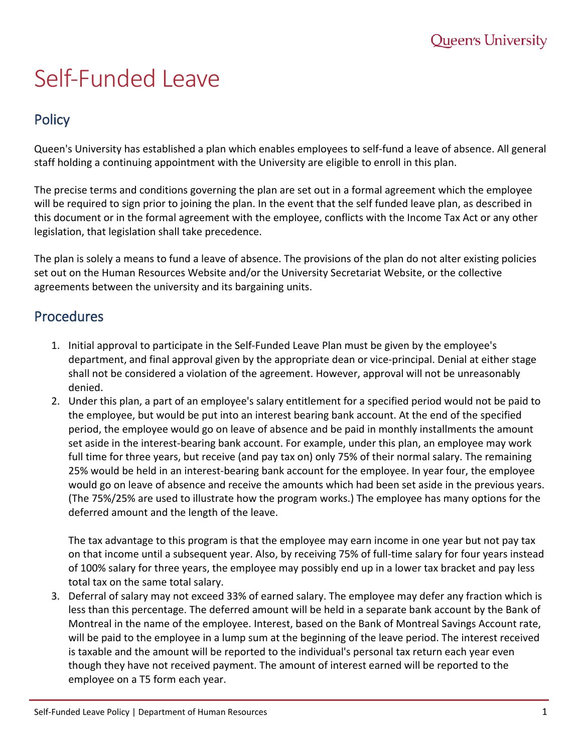## Self-Funded Leave

## **Policy**

Queen's University has established a plan which enables employees to self-fund a leave of absence. All general staff holding a continuing appointment with the University are eligible to enroll in this plan.

The precise terms and conditions governing the plan are set out in a formal agreement which the employee will be required to sign prior to joining the plan. In the event that the self funded leave plan, as described in this document or in the formal agreement with the employee, conflicts with the Income Tax Act or any other legislation, that legislation shall take precedence.

The plan is solely a means to fund a leave of absence. The provisions of the plan do not alter existing policies set out on the Human Resources Website and/or the University Secretariat Website, or the collective agreements between the university and its bargaining units.

## **Procedures**

- 1. Initial approval to participate in the Self-Funded Leave Plan must be given by the employee's department, and final approval given by the appropriate dean or vice-principal. Denial at either stage shall not be considered a violation of the agreement. However, approval will not be unreasonably denied.
- 2. Under this plan, a part of an employee's salary entitlement for a specified period would not be paid to the employee, but would be put into an interest bearing bank account. At the end of the specified period, the employee would go on leave of absence and be paid in monthly installments the amount set aside in the interest-bearing bank account. For example, under this plan, an employee may work full time for three years, but receive (and pay tax on) only 75% of their normal salary. The remaining 25% would be held in an interest-bearing bank account for the employee. In year four, the employee would go on leave of absence and receive the amounts which had been set aside in the previous years. (The 75%/25% are used to illustrate how the program works.) The employee has many options for the deferred amount and the length of the leave.

The tax advantage to this program is that the employee may earn income in one year but not pay tax on that income until a subsequent year. Also, by receiving 75% of full-time salary for four years instead of 100% salary for three years, the employee may possibly end up in a lower tax bracket and pay less total tax on the same total salary.

3. Deferral of salary may not exceed 33% of earned salary. The employee may defer any fraction which is less than this percentage. The deferred amount will be held in a separate bank account by the Bank of Montreal in the name of the employee. Interest, based on the Bank of Montreal Savings Account rate, will be paid to the employee in a lump sum at the beginning of the leave period. The interest received is taxable and the amount will be reported to the individual's personal tax return each year even though they have not received payment. The amount of interest earned will be reported to the employee on a T5 form each year.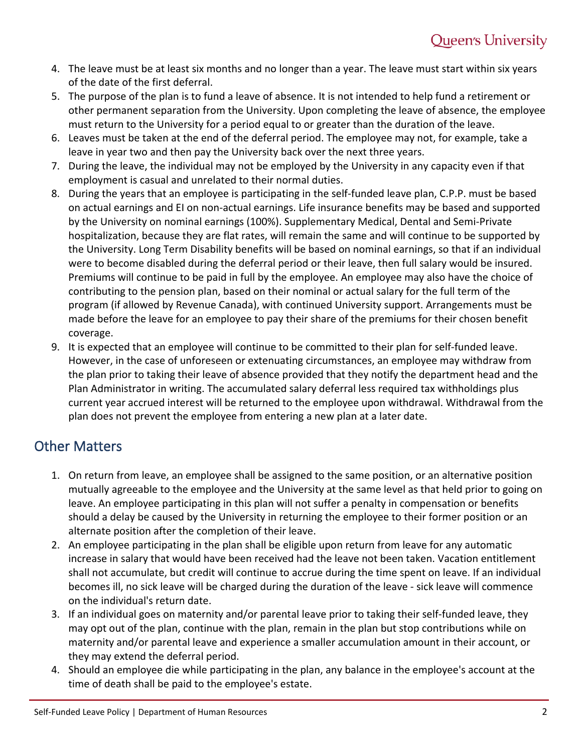- 4. The leave must be at least six months and no longer than a year. The leave must start within six years of the date of the first deferral.
- 5. The purpose of the plan is to fund a leave of absence. It is not intended to help fund a retirement or other permanent separation from the University. Upon completing the leave of absence, the employee must return to the University for a period equal to or greater than the duration of the leave.
- 6. Leaves must be taken at the end of the deferral period. The employee may not, for example, take a leave in year two and then pay the University back over the next three years.
- 7. During the leave, the individual may not be employed by the University in any capacity even if that employment is casual and unrelated to their normal duties.
- 8. During the years that an employee is participating in the self-funded leave plan, C.P.P. must be based on actual earnings and EI on non-actual earnings. Life insurance benefits may be based and supported by the University on nominal earnings (100%). Supplementary Medical, Dental and Semi-Private hospitalization, because they are flat rates, will remain the same and will continue to be supported by the University. Long Term Disability benefits will be based on nominal earnings, so that if an individual were to become disabled during the deferral period or their leave, then full salary would be insured. Premiums will continue to be paid in full by the employee. An employee may also have the choice of contributing to the pension plan, based on their nominal or actual salary for the full term of the program (if allowed by Revenue Canada), with continued University support. Arrangements must be made before the leave for an employee to pay their share of the premiums for their chosen benefit coverage.
- 9. It is expected that an employee will continue to be committed to their plan for self-funded leave. However, in the case of unforeseen or extenuating circumstances, an employee may withdraw from the plan prior to taking their leave of absence provided that they notify the department head and the Plan Administrator in writing. The accumulated salary deferral less required tax withholdings plus current year accrued interest will be returned to the employee upon withdrawal. Withdrawal from the plan does not prevent the employee from entering a new plan at a later date.

## Other Matters

- 1. On return from leave, an employee shall be assigned to the same position, or an alternative position mutually agreeable to the employee and the University at the same level as that held prior to going on leave. An employee participating in this plan will not suffer a penalty in compensation or benefits should a delay be caused by the University in returning the employee to their former position or an alternate position after the completion of their leave.
- 2. An employee participating in the plan shall be eligible upon return from leave for any automatic increase in salary that would have been received had the leave not been taken. Vacation entitlement shall not accumulate, but credit will continue to accrue during the time spent on leave. If an individual becomes ill, no sick leave will be charged during the duration of the leave - sick leave will commence on the individual's return date.
- 3. If an individual goes on maternity and/or parental leave prior to taking their self-funded leave, they may opt out of the plan, continue with the plan, remain in the plan but stop contributions while on maternity and/or parental leave and experience a smaller accumulation amount in their account, or they may extend the deferral period.
- 4. Should an employee die while participating in the plan, any balance in the employee's account at the time of death shall be paid to the employee's estate.